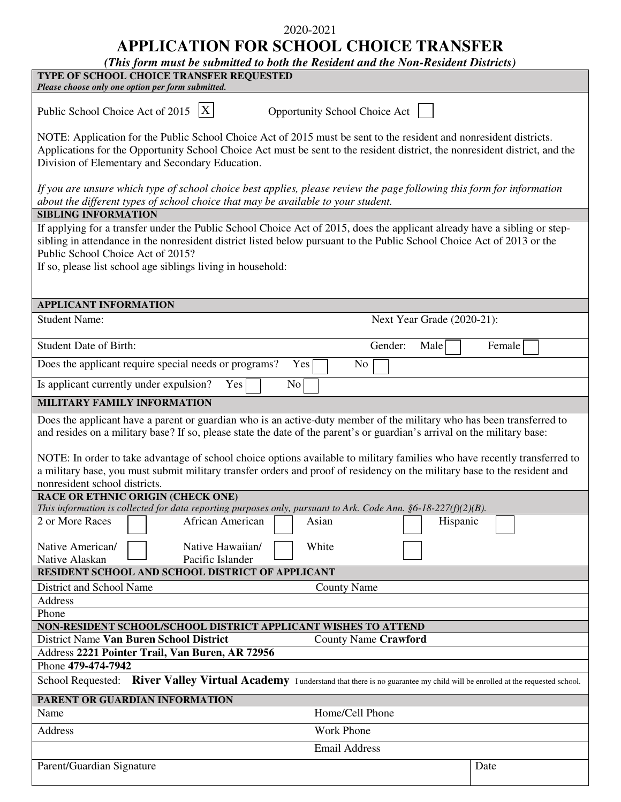## 2020-2021

**APPLICATION FOR SCHOOL CHOICE TRANSFER** 

| (This form must be submitted to both the Resident and the Non-Resident Districts)                                                                                                                                                                                                                                                                                                                                                                                                                                                            |        |  |
|----------------------------------------------------------------------------------------------------------------------------------------------------------------------------------------------------------------------------------------------------------------------------------------------------------------------------------------------------------------------------------------------------------------------------------------------------------------------------------------------------------------------------------------------|--------|--|
| TYPE OF SCHOOL CHOICE TRANSFER REQUESTED                                                                                                                                                                                                                                                                                                                                                                                                                                                                                                     |        |  |
| Please choose only one option per form submitted.                                                                                                                                                                                                                                                                                                                                                                                                                                                                                            |        |  |
| Public School Choice Act of 2015 $ X $<br>Opportunity School Choice Act                                                                                                                                                                                                                                                                                                                                                                                                                                                                      |        |  |
| NOTE: Application for the Public School Choice Act of 2015 must be sent to the resident and nonresident districts.<br>Applications for the Opportunity School Choice Act must be sent to the resident district, the nonresident district, and the<br>Division of Elementary and Secondary Education.                                                                                                                                                                                                                                         |        |  |
| If you are unsure which type of school choice best applies, please review the page following this form for information<br>about the different types of school choice that may be available to your student.                                                                                                                                                                                                                                                                                                                                  |        |  |
| <b>SIBLING INFORMATION</b>                                                                                                                                                                                                                                                                                                                                                                                                                                                                                                                   |        |  |
| If applying for a transfer under the Public School Choice Act of 2015, does the applicant already have a sibling or step-<br>sibling in attendance in the nonresident district listed below pursuant to the Public School Choice Act of 2013 or the<br>Public School Choice Act of 2015?<br>If so, please list school age siblings living in household:                                                                                                                                                                                      |        |  |
|                                                                                                                                                                                                                                                                                                                                                                                                                                                                                                                                              |        |  |
| <b>APPLICANT INFORMATION</b>                                                                                                                                                                                                                                                                                                                                                                                                                                                                                                                 |        |  |
| <b>Student Name:</b><br>Next Year Grade (2020-21):                                                                                                                                                                                                                                                                                                                                                                                                                                                                                           |        |  |
| <b>Student Date of Birth:</b><br>Gender:<br>Male                                                                                                                                                                                                                                                                                                                                                                                                                                                                                             | Female |  |
| Does the applicant require special needs or programs?<br>Yes<br>No                                                                                                                                                                                                                                                                                                                                                                                                                                                                           |        |  |
| Is applicant currently under expulsion?<br>Yes<br>No                                                                                                                                                                                                                                                                                                                                                                                                                                                                                         |        |  |
| MILITARY FAMILY INFORMATION                                                                                                                                                                                                                                                                                                                                                                                                                                                                                                                  |        |  |
| Does the applicant have a parent or guardian who is an active-duty member of the military who has been transferred to<br>and resides on a military base? If so, please state the date of the parent's or guardian's arrival on the military base:<br>NOTE: In order to take advantage of school choice options available to military families who have recently transferred to<br>a military base, you must submit military transfer orders and proof of residency on the military base to the resident and<br>nonresident school districts. |        |  |
| RACE OR ETHNIC ORIGIN (CHECK ONE)                                                                                                                                                                                                                                                                                                                                                                                                                                                                                                            |        |  |
| This information is collected for data reporting purposes only, pursuant to Ark. Code Ann. $§6-18-227(f)(2)(B)$ .                                                                                                                                                                                                                                                                                                                                                                                                                            |        |  |
| 2 or More Races<br>African American<br>Asian<br>Hispanic                                                                                                                                                                                                                                                                                                                                                                                                                                                                                     |        |  |
| Native Hawaiian/<br>Native American/<br>White<br>Pacific Islander<br>Native Alaskan                                                                                                                                                                                                                                                                                                                                                                                                                                                          |        |  |
| RESIDENT SCHOOL AND SCHOOL DISTRICT OF APPLICANT                                                                                                                                                                                                                                                                                                                                                                                                                                                                                             |        |  |
| District and School Name<br><b>County Name</b>                                                                                                                                                                                                                                                                                                                                                                                                                                                                                               |        |  |
| Address<br>Phone                                                                                                                                                                                                                                                                                                                                                                                                                                                                                                                             |        |  |
| NON-RESIDENT SCHOOL/SCHOOL DISTRICT APPLICANT WISHES TO ATTEND                                                                                                                                                                                                                                                                                                                                                                                                                                                                               |        |  |
| District Name Van Buren School District<br><b>County Name Crawford</b>                                                                                                                                                                                                                                                                                                                                                                                                                                                                       |        |  |
| Address 2221 Pointer Trail, Van Buren, AR 72956                                                                                                                                                                                                                                                                                                                                                                                                                                                                                              |        |  |
| Phone 479-474-7942                                                                                                                                                                                                                                                                                                                                                                                                                                                                                                                           |        |  |
| School Requested: River Valley Virtual Academy I understand that there is no guarantee my child will be enrolled at the requested school.                                                                                                                                                                                                                                                                                                                                                                                                    |        |  |
| PARENT OR GUARDIAN INFORMATION                                                                                                                                                                                                                                                                                                                                                                                                                                                                                                               |        |  |
| Home/Cell Phone<br>Name                                                                                                                                                                                                                                                                                                                                                                                                                                                                                                                      |        |  |
| Work Phone<br>Address                                                                                                                                                                                                                                                                                                                                                                                                                                                                                                                        |        |  |
| <b>Email Address</b>                                                                                                                                                                                                                                                                                                                                                                                                                                                                                                                         |        |  |
|                                                                                                                                                                                                                                                                                                                                                                                                                                                                                                                                              |        |  |